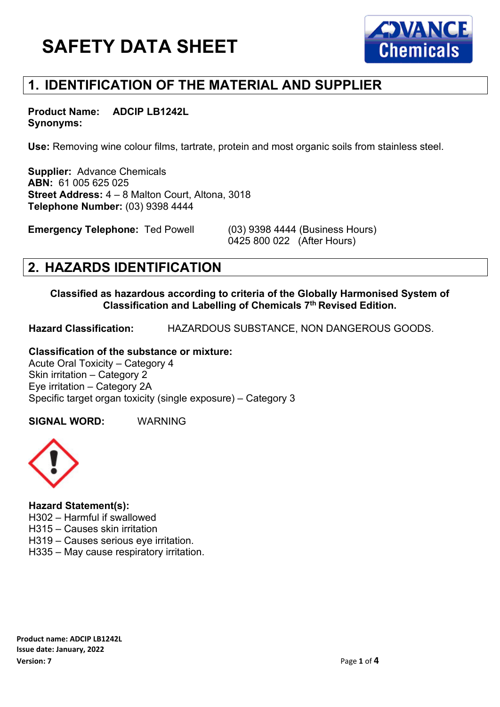

# **1. IDENTIFICATION OF THE MATERIAL AND SUPPLIER**

**Product Name: ADCIP LB1242L Synonyms:** 

**Use:** Removing wine colour films, tartrate, protein and most organic soils from stainless steel.

**Supplier:** Advance Chemicals **ABN:** 61 005 625 025 **Street Address:** 4 – 8 Malton Court, Altona, 3018 **Telephone Number:** (03) 9398 4444

**Emergency Telephone:** Ted Powell (03) 9398 4444 (Business Hours)

0425 800 022 (After Hours)

## **2. HAZARDS IDENTIFICATION**

**Classified as hazardous according to criteria of the Globally Harmonised System of Classification and Labelling of Chemicals 7th Revised Edition.**

**Hazard Classification:** HAZARDOUS SUBSTANCE, NON DANGEROUS GOODS.

#### **Classification of the substance or mixture:**

Acute Oral Toxicity – Category 4 Skin irritation – Category 2 Eye irritation – Category 2A Specific target organ toxicity (single exposure) – Category 3

**SIGNAL WORD:** WARNING



#### **Hazard Statement(s):**

H302 – Harmful if swallowed

H315 – Causes skin irritation

H319 – Causes serious eye irritation.

H335 – May cause respiratory irritation.

**Product name: ADCIP LB1242L Issue date: January, 2022 Version: 7** Page **1** of **4**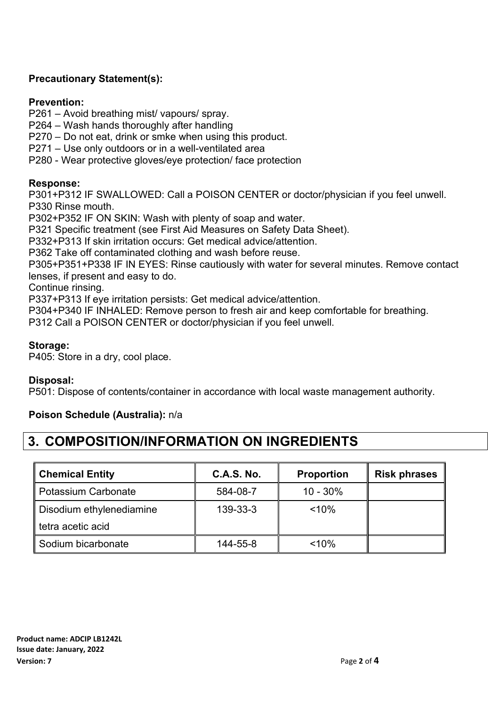### **Precautionary Statement(s):**

### **Prevention:**

P261 – Avoid breathing mist/ vapours/ spray.

P264 – Wash hands thoroughly after handling

P270 – Do not eat, drink or smke when using this product.

P271 – Use only outdoors or in a well-ventilated area

P280 - Wear protective gloves/eye protection/ face protection

### **Response:**

P301+P312 IF SWALLOWED: Call a POISON CENTER or doctor/physician if you feel unwell. P330 Rinse mouth.

P302+P352 IF ON SKIN: Wash with plenty of soap and water.

P321 Specific treatment (see First Aid Measures on Safety Data Sheet).

P332+P313 If skin irritation occurs: Get medical advice/attention.

P362 Take off contaminated clothing and wash before reuse.

P305+P351+P338 IF IN EYES: Rinse cautiously with water for several minutes. Remove contact lenses, if present and easy to do.

Continue rinsing.

P337+P313 If eye irritation persists: Get medical advice/attention.

P304+P340 IF INHALED: Remove person to fresh air and keep comfortable for breathing. P312 Call a POISON CENTER or doctor/physician if you feel unwell.

### **Storage:**

P405: Store in a dry, cool place.

#### **Disposal:**

P501: Dispose of contents/container in accordance with local waste management authority.

#### **Poison Schedule (Australia):** n/a

## **3. COMPOSITION/INFORMATION ON INGREDIENTS**

| ∥ Chemical Entity        | <b>C.A.S. No.</b> | <b>Proportion</b> | <b>Risk phrases</b> |
|--------------------------|-------------------|-------------------|---------------------|
| ∥ Potassium Carbonate    | 584-08-7          | $10 - 30\%$       |                     |
| Disodium ethylenediamine | 139-33-3          | < 10%             |                     |
| tetra acetic acid        |                   |                   |                     |
| Sodium bicarbonate       | 144-55-8          | < 10%             |                     |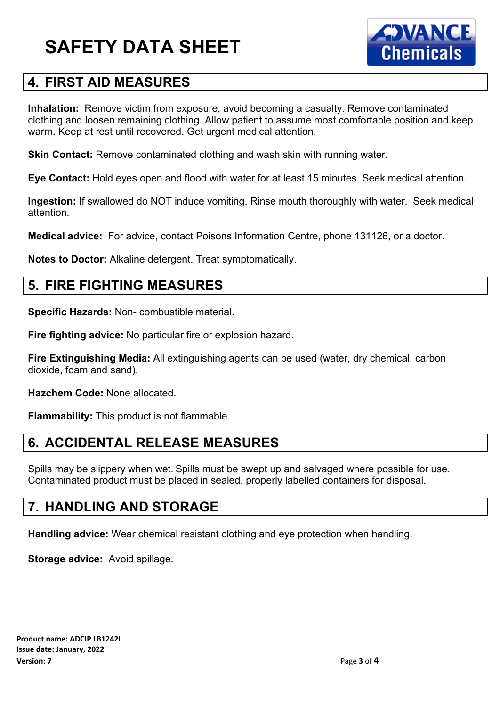

## **4. FIRST AID MEASURES**

**Inhalation:** Remove victim from exposure, avoid becoming a casualty. Remove contaminated clothing and loosen remaining clothing. Allow patient to assume most comfortable position and keep warm. Keep at rest until recovered. Get urgent medical attention.

**Skin Contact:** Remove contaminated clothing and wash skin with running water.

**Eye Contact:** Hold eyes open and flood with water for at least 15 minutes. Seek medical attention.

**Ingestion:** If swallowed do NOT induce vomiting. Rinse mouth thoroughly with water. Seek medical attention.

**Medical advice:** For advice, contact Poisons Information Centre, phone 131126, or a doctor.

**Notes to Doctor:** Alkaline detergent. Treat symptomatically.

## **5. FIRE FIGHTING MEASURES**

**Specific Hazards:** Non- combustible material.

**Fire fighting advice:** No particular fire or explosion hazard.

**Fire Extinguishing Media:** All extinguishing agents can be used (water, dry chemical, carbon dioxide, foam and sand).

**Hazchem Code:** None allocated.

**Flammability:** This product is not flammable.

## **6. ACCIDENTAL RELEASE MEASURES**

Spills may be slippery when wet. Spills must be swept up and salvaged where possible for use. Contaminated product must be placed in sealed, properly labelled containers for disposal.

## **7. HANDLING AND STORAGE**

**Handling advice:** Wear chemical resistant clothing and eye protection when handling.

**Storage advice:** Avoid spillage.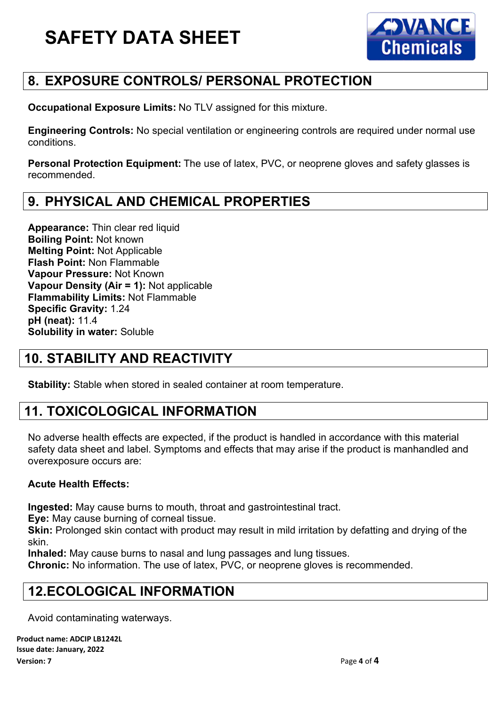

# **8. EXPOSURE CONTROLS/ PERSONAL PROTECTION**

**Occupational Exposure Limits:** No TLV assigned for this mixture.

**Engineering Controls:** No special ventilation or engineering controls are required under normal use conditions.

**Personal Protection Equipment:** The use of latex, PVC, or neoprene gloves and safety glasses is recommended.

## **9. PHYSICAL AND CHEMICAL PROPERTIES**

**Appearance:** Thin clear red liquid **Boiling Point:** Not known **Melting Point:** Not Applicable **Flash Point:** Non Flammable **Vapour Pressure:** Not Known **Vapour Density (Air = 1):** Not applicable **Flammability Limits:** Not Flammable **Specific Gravity:** 1.24 **pH (neat):** 11.4 **Solubility in water:** Soluble

## **10. STABILITY AND REACTIVITY**

**Stability:** Stable when stored in sealed container at room temperature.

# **11. TOXICOLOGICAL INFORMATION**

No adverse health effects are expected, if the product is handled in accordance with this material safety data sheet and label. Symptoms and effects that may arise if the product is manhandled and overexposure occurs are:

### **Acute Health Effects:**

**Ingested:** May cause burns to mouth, throat and gastrointestinal tract.

**Eye:** May cause burning of corneal tissue.

**Skin:** Prolonged skin contact with product may result in mild irritation by defatting and drying of the skin.

**Inhaled:** May cause burns to nasal and lung passages and lung tissues.

**Chronic:** No information. The use of latex, PVC, or neoprene gloves is recommended.

## **12.ECOLOGICAL INFORMATION**

Avoid contaminating waterways.

**Product name: ADCIP LB1242L Issue date: January, 2022 Version: 7** Page **4** of **4**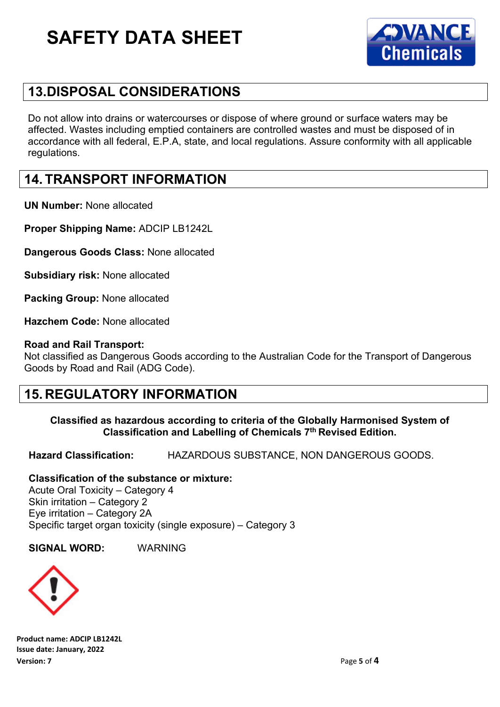

## **13.DISPOSAL CONSIDERATIONS**

Do not allow into drains or watercourses or dispose of where ground or surface waters may be affected. Wastes including emptied containers are controlled wastes and must be disposed of in accordance with all federal, E.P.A, state, and local regulations. Assure conformity with all applicable regulations.

## **14. TRANSPORT INFORMATION**

**UN Number:** None allocated

**Proper Shipping Name:** ADCIP LB1242L

**Dangerous Goods Class:** None allocated

**Subsidiary risk:** None allocated

**Packing Group:** None allocated

**Hazchem Code:** None allocated

#### **Road and Rail Transport:**

Not classified as Dangerous Goods according to the Australian Code for the Transport of Dangerous Goods by Road and Rail (ADG Code).

## **15. REGULATORY INFORMATION**

#### **Classified as hazardous according to criteria of the Globally Harmonised System of Classification and Labelling of Chemicals 7th Revised Edition.**

**Hazard Classification:** HAZARDOUS SUBSTANCE, NON DANGEROUS GOODS.

#### **Classification of the substance or mixture:** Acute Oral Toxicity – Category 4 Skin irritation – Category 2 Eye irritation – Category 2A

Specific target organ toxicity (single exposure) – Category 3

**SIGNAL WORD:** WARNING



**Product name: ADCIP LB1242L Issue date: January, 2022 Version: 7** Page **5** of **4**